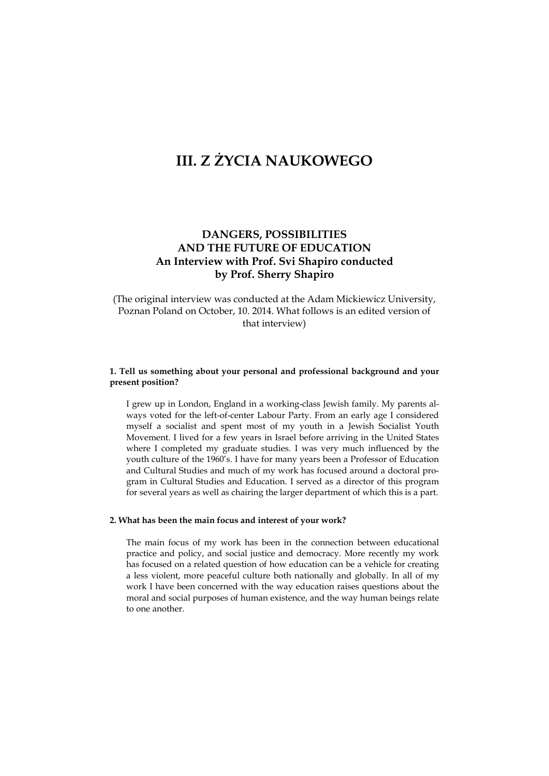# **DANGERS, POSSIBILITIES AND THE FUTURE OF EDUCATION An Interview with Prof. Svi Shapiro conducted by Prof. Sherry Shapiro**

(The original interview was conducted at the Adam Mickiewicz University, Poznan Poland on October, 10. 2014. What follows is an edited version of that interview)

## **1. Tell us something about your personal and professional background and your present position?**

I grew up in London, England in a working-class Jewish family. My parents always voted for the left-of-center Labour Party. From an early age I considered myself a socialist and spent most of my youth in a Jewish Socialist Youth Movement. I lived for a few years in Israel before arriving in the United States where I completed my graduate studies. I was very much influenced by the youth culture of the 1960's. I have for many years been a Professor of Education and Cultural Studies and much of my work has focused around a doctoral program in Cultural Studies and Education. I served as a director of this program for several years as well as chairing the larger department of which this is a part.

#### **2. What has been the main focus and interest of your work?**

The main focus of my work has been in the connection between educational practice and policy, and social justice and democracy. More recently my work has focused on a related question of how education can be a vehicle for creating a less violent, more peaceful culture both nationally and globally. In all of my work I have been concerned with the way education raises questions about the moral and social purposes of human existence, and the way human beings relate to one another.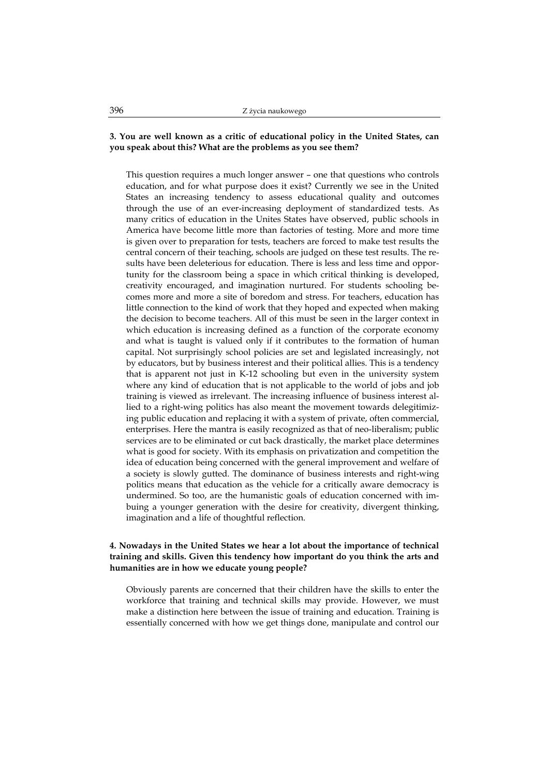## **3. You are well known as a critic of educational policy in the United States, can you speak about this? What are the problems as you see them?**

This question requires a much longer answer – one that questions who controls education, and for what purpose does it exist? Currently we see in the United States an increasing tendency to assess educational quality and outcomes through the use of an ever-increasing deployment of standardized tests. As many critics of education in the Unites States have observed, public schools in America have become little more than factories of testing. More and more time is given over to preparation for tests, teachers are forced to make test results the central concern of their teaching, schools are judged on these test results. The results have been deleterious for education. There is less and less time and opportunity for the classroom being a space in which critical thinking is developed, creativity encouraged, and imagination nurtured. For students schooling becomes more and more a site of boredom and stress. For teachers, education has little connection to the kind of work that they hoped and expected when making the decision to become teachers. All of this must be seen in the larger context in which education is increasing defined as a function of the corporate economy and what is taught is valued only if it contributes to the formation of human capital. Not surprisingly school policies are set and legislated increasingly, not by educators, but by business interest and their political allies. This is a tendency that is apparent not just in K-12 schooling but even in the university system where any kind of education that is not applicable to the world of jobs and job training is viewed as irrelevant. The increasing influence of business interest allied to a right-wing politics has also meant the movement towards delegitimizing public education and replacing it with a system of private, often commercial, enterprises. Here the mantra is easily recognized as that of neo-liberalism; public services are to be eliminated or cut back drastically, the market place determines what is good for society. With its emphasis on privatization and competition the idea of education being concerned with the general improvement and welfare of a society is slowly gutted. The dominance of business interests and right-wing politics means that education as the vehicle for a critically aware democracy is undermined. So too, are the humanistic goals of education concerned with imbuing a younger generation with the desire for creativity, divergent thinking, imagination and a life of thoughtful reflection.

## **4. Nowadays in the United States we hear a lot about the importance of technical training and skills. Given this tendency how important do you think the arts and humanities are in how we educate young people?**

Obviously parents are concerned that their children have the skills to enter the workforce that training and technical skills may provide. However, we must make a distinction here between the issue of training and education. Training is essentially concerned with how we get things done, manipulate and control our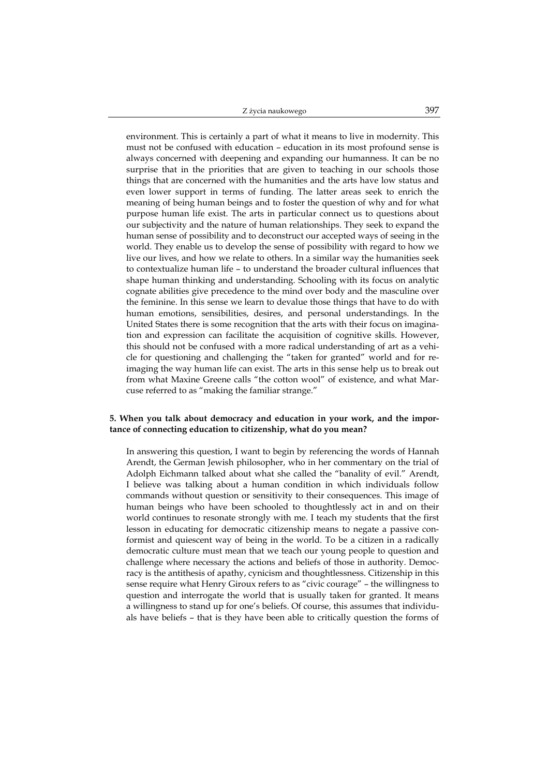environment. This is certainly a part of what it means to live in modernity. This must not be confused with education – education in its most profound sense is always concerned with deepening and expanding our humanness. It can be no surprise that in the priorities that are given to teaching in our schools those things that are concerned with the humanities and the arts have low status and even lower support in terms of funding. The latter areas seek to enrich the meaning of being human beings and to foster the question of why and for what purpose human life exist. The arts in particular connect us to questions about our subjectivity and the nature of human relationships. They seek to expand the human sense of possibility and to deconstruct our accepted ways of seeing in the world. They enable us to develop the sense of possibility with regard to how we live our lives, and how we relate to others. In a similar way the humanities seek to contextualize human life – to understand the broader cultural influences that shape human thinking and understanding. Schooling with its focus on analytic cognate abilities give precedence to the mind over body and the masculine over the feminine. In this sense we learn to devalue those things that have to do with human emotions, sensibilities, desires, and personal understandings. In the United States there is some recognition that the arts with their focus on imagination and expression can facilitate the acquisition of cognitive skills. However, this should not be confused with a more radical understanding of art as a vehicle for questioning and challenging the "taken for granted" world and for reimaging the way human life can exist. The arts in this sense help us to break out from what Maxine Greene calls "the cotton wool" of existence, and what Marcuse referred to as "making the familiar strange."

## **5. When you talk about democracy and education in your work, and the importance of connecting education to citizenship, what do you mean?**

In answering this question, I want to begin by referencing the words of Hannah Arendt, the German Jewish philosopher, who in her commentary on the trial of Adolph Eichmann talked about what she called the "banality of evil." Arendt, I believe was talking about a human condition in which individuals follow commands without question or sensitivity to their consequences. This image of human beings who have been schooled to thoughtlessly act in and on their world continues to resonate strongly with me. I teach my students that the first lesson in educating for democratic citizenship means to negate a passive conformist and quiescent way of being in the world. To be a citizen in a radically democratic culture must mean that we teach our young people to question and challenge where necessary the actions and beliefs of those in authority. Democracy is the antithesis of apathy, cynicism and thoughtlessness. Citizenship in this sense require what Henry Giroux refers to as "civic courage" – the willingness to question and interrogate the world that is usually taken for granted. It means a willingness to stand up for one's beliefs. Of course, this assumes that individuals have beliefs – that is they have been able to critically question the forms of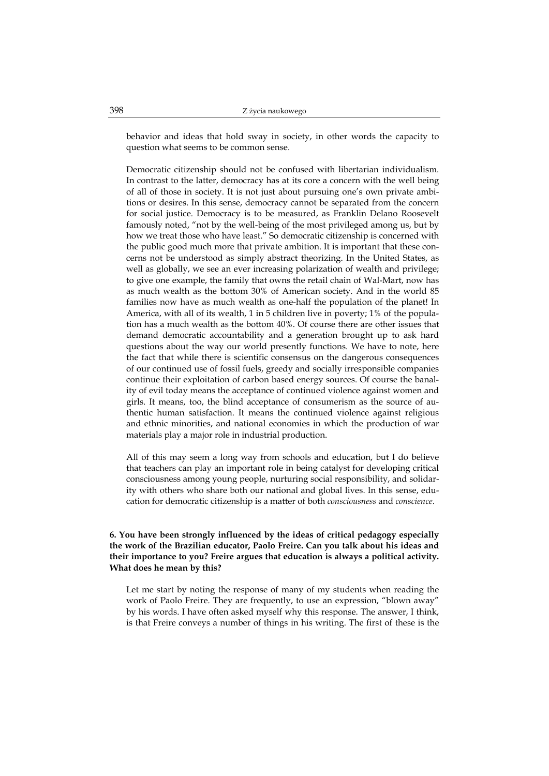behavior and ideas that hold sway in society, in other words the capacity to question what seems to be common sense.

Democratic citizenship should not be confused with libertarian individualism. In contrast to the latter, democracy has at its core a concern with the well being of all of those in society. It is not just about pursuing one's own private ambitions or desires. In this sense, democracy cannot be separated from the concern for social justice. Democracy is to be measured, as Franklin Delano Roosevelt famously noted, "not by the well-being of the most privileged among us, but by how we treat those who have least." So democratic citizenship is concerned with the public good much more that private ambition. It is important that these concerns not be understood as simply abstract theorizing. In the United States, as well as globally, we see an ever increasing polarization of wealth and privilege; to give one example, the family that owns the retail chain of Wal-Mart, now has as much wealth as the bottom 30% of American society. And in the world 85 families now have as much wealth as one-half the population of the planet! In America, with all of its wealth, 1 in 5 children live in poverty; 1% of the population has a much wealth as the bottom 40%. Of course there are other issues that demand democratic accountability and a generation brought up to ask hard questions about the way our world presently functions. We have to note, here the fact that while there is scientific consensus on the dangerous consequences of our continued use of fossil fuels, greedy and socially irresponsible companies continue their exploitation of carbon based energy sources. Of course the banality of evil today means the acceptance of continued violence against women and girls. It means, too, the blind acceptance of consumerism as the source of authentic human satisfaction. It means the continued violence against religious and ethnic minorities, and national economies in which the production of war materials play a major role in industrial production.

All of this may seem a long way from schools and education, but I do believe that teachers can play an important role in being catalyst for developing critical consciousness among young people, nurturing social responsibility, and solidarity with others who share both our national and global lives. In this sense, education for democratic citizenship is a matter of both *consciousness* and *conscience*.

**6. You have been strongly influenced by the ideas of critical pedagogy especially the work of the Brazilian educator, Paolo Freire. Can you talk about his ideas and their importance to you? Freire argues that education is always a political activity. What does he mean by this?** 

Let me start by noting the response of many of my students when reading the work of Paolo Freire. They are frequently, to use an expression, "blown away" by his words. I have often asked myself why this response. The answer, I think, is that Freire conveys a number of things in his writing. The first of these is the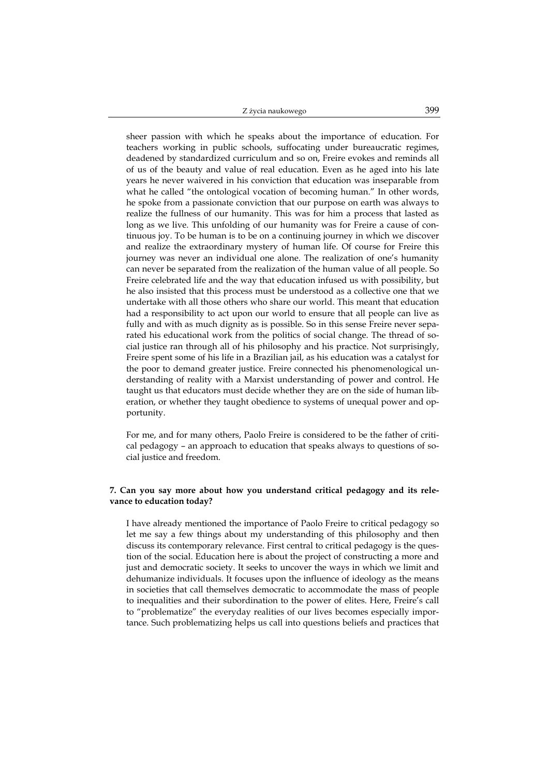sheer passion with which he speaks about the importance of education. For teachers working in public schools, suffocating under bureaucratic regimes, deadened by standardized curriculum and so on, Freire evokes and reminds all of us of the beauty and value of real education. Even as he aged into his late years he never waivered in his conviction that education was inseparable from what he called "the ontological vocation of becoming human." In other words, he spoke from a passionate conviction that our purpose on earth was always to realize the fullness of our humanity. This was for him a process that lasted as long as we live. This unfolding of our humanity was for Freire a cause of continuous joy. To be human is to be on a continuing journey in which we discover and realize the extraordinary mystery of human life. Of course for Freire this journey was never an individual one alone. The realization of one's humanity can never be separated from the realization of the human value of all people. So Freire celebrated life and the way that education infused us with possibility, but he also insisted that this process must be understood as a collective one that we undertake with all those others who share our world. This meant that education had a responsibility to act upon our world to ensure that all people can live as fully and with as much dignity as is possible. So in this sense Freire never separated his educational work from the politics of social change. The thread of social justice ran through all of his philosophy and his practice. Not surprisingly, Freire spent some of his life in a Brazilian jail, as his education was a catalyst for the poor to demand greater justice. Freire connected his phenomenological understanding of reality with a Marxist understanding of power and control. He taught us that educators must decide whether they are on the side of human liberation, or whether they taught obedience to systems of unequal power and opportunity.

For me, and for many others, Paolo Freire is considered to be the father of critical pedagogy – an approach to education that speaks always to questions of social justice and freedom.

## **7. Can you say more about how you understand critical pedagogy and its relevance to education today?**

I have already mentioned the importance of Paolo Freire to critical pedagogy so let me say a few things about my understanding of this philosophy and then discuss its contemporary relevance. First central to critical pedagogy is the question of the social. Education here is about the project of constructing a more and just and democratic society. It seeks to uncover the ways in which we limit and dehumanize individuals. It focuses upon the influence of ideology as the means in societies that call themselves democratic to accommodate the mass of people to inequalities and their subordination to the power of elites. Here, Freire's call to "problematize" the everyday realities of our lives becomes especially importance. Such problematizing helps us call into questions beliefs and practices that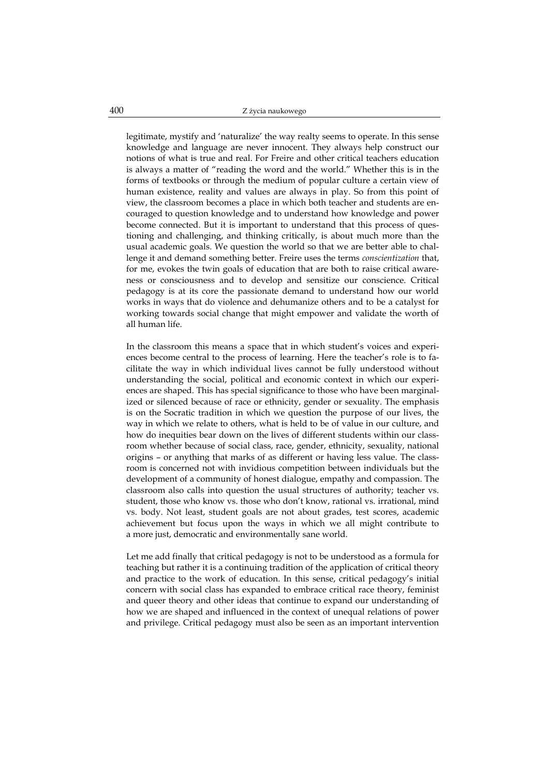legitimate, mystify and 'naturalize' the way realty seems to operate. In this sense knowledge and language are never innocent. They always help construct our notions of what is true and real. For Freire and other critical teachers education is always a matter of "reading the word and the world." Whether this is in the forms of textbooks or through the medium of popular culture a certain view of human existence, reality and values are always in play. So from this point of view, the classroom becomes a place in which both teacher and students are encouraged to question knowledge and to understand how knowledge and power become connected. But it is important to understand that this process of questioning and challenging, and thinking critically, is about much more than the usual academic goals. We question the world so that we are better able to challenge it and demand something better. Freire uses the terms *conscientization* that, for me, evokes the twin goals of education that are both to raise critical awareness or consciousness and to develop and sensitize our conscience. Critical pedagogy is at its core the passionate demand to understand how our world works in ways that do violence and dehumanize others and to be a catalyst for working towards social change that might empower and validate the worth of all human life.

In the classroom this means a space that in which student's voices and experiences become central to the process of learning. Here the teacher's role is to facilitate the way in which individual lives cannot be fully understood without understanding the social, political and economic context in which our experiences are shaped. This has special significance to those who have been marginalized or silenced because of race or ethnicity, gender or sexuality. The emphasis is on the Socratic tradition in which we question the purpose of our lives, the way in which we relate to others, what is held to be of value in our culture, and how do inequities bear down on the lives of different students within our classroom whether because of social class, race, gender, ethnicity, sexuality, national origins – or anything that marks of as different or having less value. The classroom is concerned not with invidious competition between individuals but the development of a community of honest dialogue, empathy and compassion. The classroom also calls into question the usual structures of authority; teacher vs. student, those who know vs. those who don't know, rational vs. irrational, mind vs. body. Not least, student goals are not about grades, test scores, academic achievement but focus upon the ways in which we all might contribute to a more just, democratic and environmentally sane world.

Let me add finally that critical pedagogy is not to be understood as a formula for teaching but rather it is a continuing tradition of the application of critical theory and practice to the work of education. In this sense, critical pedagogy's initial concern with social class has expanded to embrace critical race theory, feminist and queer theory and other ideas that continue to expand our understanding of how we are shaped and influenced in the context of unequal relations of power and privilege. Critical pedagogy must also be seen as an important intervention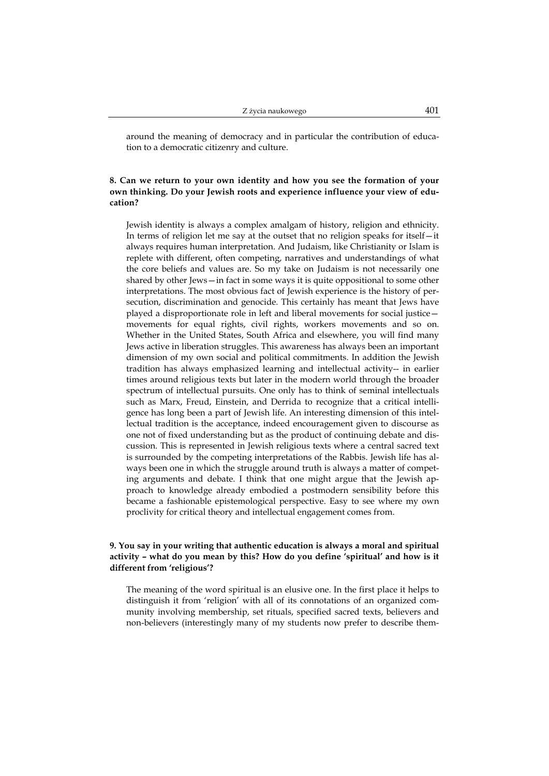around the meaning of democracy and in particular the contribution of education to a democratic citizenry and culture.

## **8. Can we return to your own identity and how you see the formation of your own thinking. Do your Jewish roots and experience influence your view of education?**

Jewish identity is always a complex amalgam of history, religion and ethnicity. In terms of religion let me say at the outset that no religion speaks for itself—it always requires human interpretation. And Judaism, like Christianity or Islam is replete with different, often competing, narratives and understandings of what the core beliefs and values are. So my take on Judaism is not necessarily one shared by other Jews—in fact in some ways it is quite oppositional to some other interpretations. The most obvious fact of Jewish experience is the history of persecution, discrimination and genocide. This certainly has meant that Jews have played a disproportionate role in left and liberal movements for social justice movements for equal rights, civil rights, workers movements and so on. Whether in the United States, South Africa and elsewhere, you will find many Jews active in liberation struggles. This awareness has always been an important dimension of my own social and political commitments. In addition the Jewish tradition has always emphasized learning and intellectual activity-- in earlier times around religious texts but later in the modern world through the broader spectrum of intellectual pursuits. One only has to think of seminal intellectuals such as Marx, Freud, Einstein, and Derrida to recognize that a critical intelligence has long been a part of Jewish life. An interesting dimension of this intellectual tradition is the acceptance, indeed encouragement given to discourse as one not of fixed understanding but as the product of continuing debate and discussion. This is represented in Jewish religious texts where a central sacred text is surrounded by the competing interpretations of the Rabbis. Jewish life has always been one in which the struggle around truth is always a matter of competing arguments and debate. I think that one might argue that the Jewish approach to knowledge already embodied a postmodern sensibility before this became a fashionable epistemological perspective. Easy to see where my own proclivity for critical theory and intellectual engagement comes from.

## **9. You say in your writing that authentic education is always a moral and spiritual activity – what do you mean by this? How do you define 'spiritual' and how is it different from 'religious'?**

The meaning of the word spiritual is an elusive one. In the first place it helps to distinguish it from 'religion' with all of its connotations of an organized community involving membership, set rituals, specified sacred texts, believers and non-believers (interestingly many of my students now prefer to describe them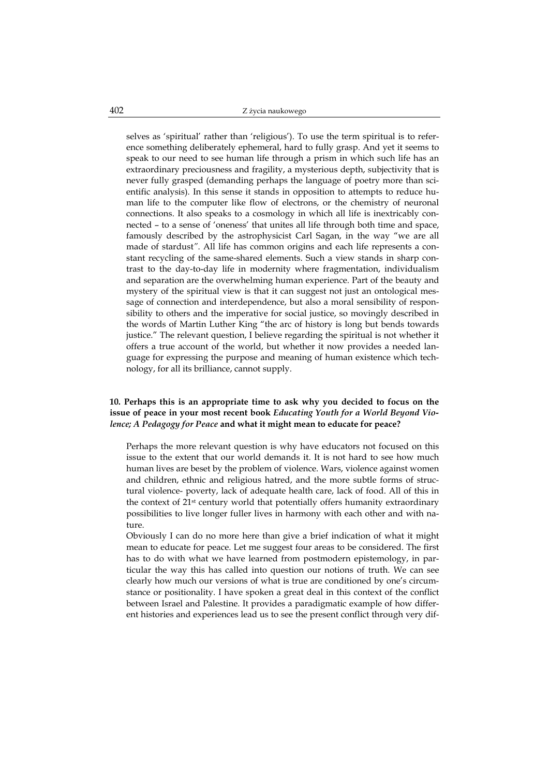selves as 'spiritual' rather than 'religious'). To use the term spiritual is to reference something deliberately ephemeral, hard to fully grasp. And yet it seems to speak to our need to see human life through a prism in which such life has an extraordinary preciousness and fragility, a mysterious depth, subjectivity that is never fully grasped (demanding perhaps the language of poetry more than scientific analysis). In this sense it stands in opposition to attempts to reduce human life to the computer like flow of electrons, or the chemistry of neuronal connections. It also speaks to a cosmology in which all life is inextricably connected – to a sense of 'oneness' that unites all life through both time and space, famously described by the astrophysicist Carl Sagan, in the way "we are all made of stardust*"*. All life has common origins and each life represents a constant recycling of the same-shared elements. Such a view stands in sharp contrast to the day-to-day life in modernity where fragmentation, individualism and separation are the overwhelming human experience. Part of the beauty and mystery of the spiritual view is that it can suggest not just an ontological message of connection and interdependence, but also a moral sensibility of responsibility to others and the imperative for social justice, so movingly described in the words of Martin Luther King "the arc of history is long but bends towards justice." The relevant question, I believe regarding the spiritual is not whether it offers a true account of the world, but whether it now provides a needed language for expressing the purpose and meaning of human existence which technology, for all its brilliance, cannot supply.

## **10. Perhaps this is an appropriate time to ask why you decided to focus on the issue of peace in your most recent book** *Educating Youth for a World Beyond Violence; A Pedagogy for Peace* **and what it might mean to educate for peace?**

Perhaps the more relevant question is why have educators not focused on this issue to the extent that our world demands it. It is not hard to see how much human lives are beset by the problem of violence. Wars, violence against women and children, ethnic and religious hatred, and the more subtle forms of structural violence- poverty, lack of adequate health care, lack of food. All of this in the context of 21st century world that potentially offers humanity extraordinary possibilities to live longer fuller lives in harmony with each other and with nature.

Obviously I can do no more here than give a brief indication of what it might mean to educate for peace. Let me suggest four areas to be considered. The first has to do with what we have learned from postmodern epistemology, in particular the way this has called into question our notions of truth. We can see clearly how much our versions of what is true are conditioned by one's circumstance or positionality. I have spoken a great deal in this context of the conflict between Israel and Palestine. It provides a paradigmatic example of how different histories and experiences lead us to see the present conflict through very dif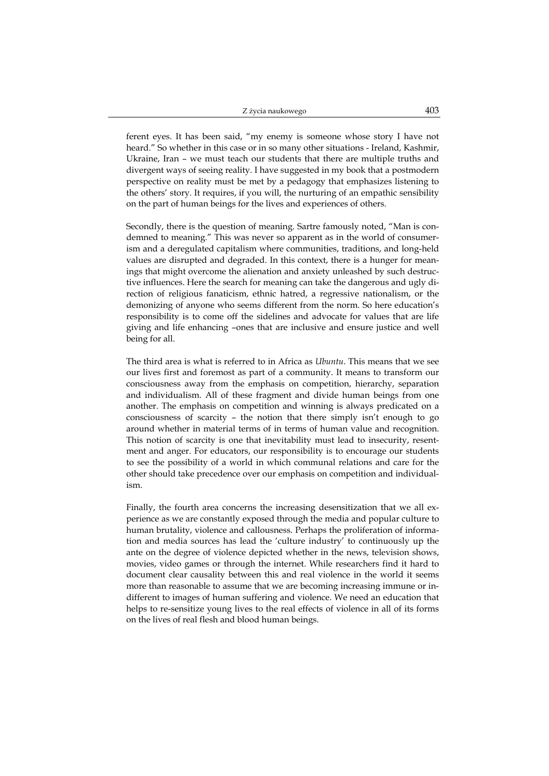ferent eyes. It has been said, "my enemy is someone whose story I have not heard." So whether in this case or in so many other situations - Ireland, Kashmir, Ukraine, Iran – we must teach our students that there are multiple truths and divergent ways of seeing reality. I have suggested in my book that a postmodern perspective on reality must be met by a pedagogy that emphasizes listening to the others' story. It requires, if you will, the nurturing of an empathic sensibility on the part of human beings for the lives and experiences of others.

Secondly, there is the question of meaning. Sartre famously noted, "Man is condemned to meaning." This was never so apparent as in the world of consumerism and a deregulated capitalism where communities, traditions, and long-held values are disrupted and degraded. In this context, there is a hunger for meanings that might overcome the alienation and anxiety unleashed by such destructive influences. Here the search for meaning can take the dangerous and ugly direction of religious fanaticism, ethnic hatred, a regressive nationalism, or the demonizing of anyone who seems different from the norm. So here education's responsibility is to come off the sidelines and advocate for values that are life giving and life enhancing –ones that are inclusive and ensure justice and well being for all.

The third area is what is referred to in Africa as *Ubuntu*. This means that we see our lives first and foremost as part of a community. It means to transform our consciousness away from the emphasis on competition, hierarchy, separation and individualism. All of these fragment and divide human beings from one another. The emphasis on competition and winning is always predicated on a consciousness of scarcity – the notion that there simply isn't enough to go around whether in material terms of in terms of human value and recognition. This notion of scarcity is one that inevitability must lead to insecurity, resentment and anger. For educators, our responsibility is to encourage our students to see the possibility of a world in which communal relations and care for the other should take precedence over our emphasis on competition and individualism.

Finally, the fourth area concerns the increasing desensitization that we all experience as we are constantly exposed through the media and popular culture to human brutality, violence and callousness. Perhaps the proliferation of information and media sources has lead the 'culture industry' to continuously up the ante on the degree of violence depicted whether in the news, television shows, movies, video games or through the internet. While researchers find it hard to document clear causality between this and real violence in the world it seems more than reasonable to assume that we are becoming increasing immune or indifferent to images of human suffering and violence. We need an education that helps to re-sensitize young lives to the real effects of violence in all of its forms on the lives of real flesh and blood human beings.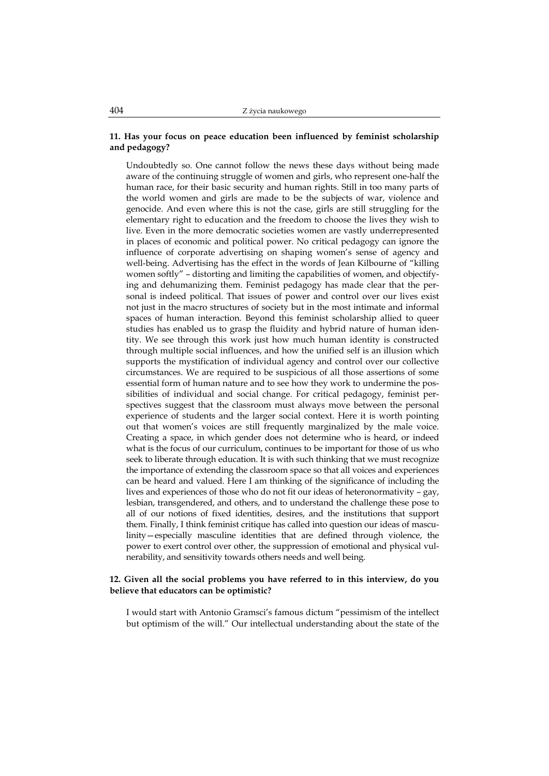#### **11. Has your focus on peace education been influenced by feminist scholarship and pedagogy?**

Undoubtedly so. One cannot follow the news these days without being made aware of the continuing struggle of women and girls, who represent one-half the human race, for their basic security and human rights. Still in too many parts of the world women and girls are made to be the subjects of war, violence and genocide. And even where this is not the case, girls are still struggling for the elementary right to education and the freedom to choose the lives they wish to live. Even in the more democratic societies women are vastly underrepresented in places of economic and political power. No critical pedagogy can ignore the influence of corporate advertising on shaping women's sense of agency and well-being. Advertising has the effect in the words of Jean Kilbourne of "killing women softly" – distorting and limiting the capabilities of women, and objectifying and dehumanizing them. Feminist pedagogy has made clear that the personal is indeed political. That issues of power and control over our lives exist not just in the macro structures of society but in the most intimate and informal spaces of human interaction. Beyond this feminist scholarship allied to queer studies has enabled us to grasp the fluidity and hybrid nature of human identity. We see through this work just how much human identity is constructed through multiple social influences, and how the unified self is an illusion which supports the mystification of individual agency and control over our collective circumstances. We are required to be suspicious of all those assertions of some essential form of human nature and to see how they work to undermine the possibilities of individual and social change. For critical pedagogy, feminist perspectives suggest that the classroom must always move between the personal experience of students and the larger social context. Here it is worth pointing out that women's voices are still frequently marginalized by the male voice. Creating a space, in which gender does not determine who is heard, or indeed what is the focus of our curriculum, continues to be important for those of us who seek to liberate through education. It is with such thinking that we must recognize the importance of extending the classroom space so that all voices and experiences can be heard and valued. Here I am thinking of the significance of including the lives and experiences of those who do not fit our ideas of heteronormativity – gay, lesbian, transgendered, and others, and to understand the challenge these pose to all of our notions of fixed identities, desires, and the institutions that support them. Finally, I think feminist critique has called into question our ideas of masculinity—especially masculine identities that are defined through violence, the power to exert control over other, the suppression of emotional and physical vulnerability, and sensitivity towards others needs and well being.

#### **12. Given all the social problems you have referred to in this interview, do you believe that educators can be optimistic?**

I would start with Antonio Gramsci's famous dictum "pessimism of the intellect but optimism of the will." Our intellectual understanding about the state of the